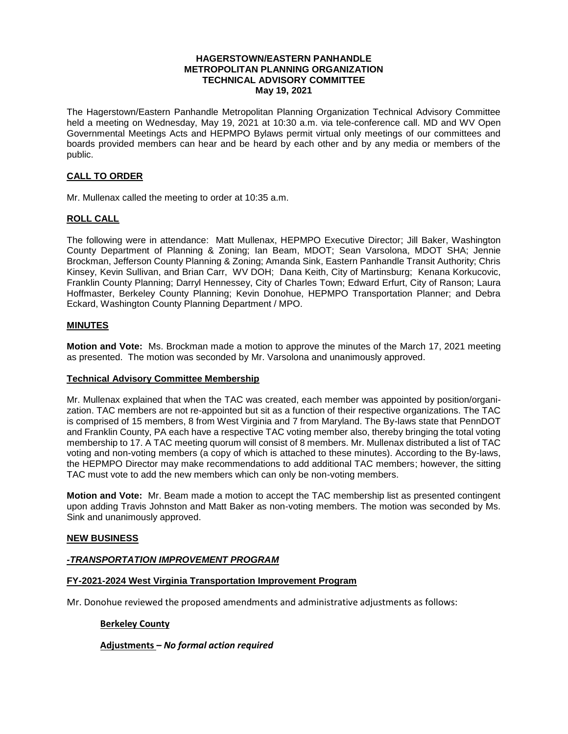#### **HAGERSTOWN/EASTERN PANHANDLE METROPOLITAN PLANNING ORGANIZATION TECHNICAL ADVISORY COMMITTEE May 19, 2021**

The Hagerstown/Eastern Panhandle Metropolitan Planning Organization Technical Advisory Committee held a meeting on Wednesday, May 19, 2021 at 10:30 a.m. via tele-conference call. MD and WV Open Governmental Meetings Acts and HEPMPO Bylaws permit virtual only meetings of our committees and boards provided members can hear and be heard by each other and by any media or members of the public.

## **CALL TO ORDER**

Mr. Mullenax called the meeting to order at 10:35 a.m.

## **ROLL CALL**

The following were in attendance: Matt Mullenax, HEPMPO Executive Director; Jill Baker, Washington County Department of Planning & Zoning; Ian Beam, MDOT; Sean Varsolona, MDOT SHA; Jennie Brockman, Jefferson County Planning & Zoning; Amanda Sink, Eastern Panhandle Transit Authority; Chris Kinsey, Kevin Sullivan, and Brian Carr, WV DOH; Dana Keith, City of Martinsburg; Kenana Korkucovic, Franklin County Planning; Darryl Hennessey, City of Charles Town; Edward Erfurt, City of Ranson; Laura Hoffmaster, Berkeley County Planning; Kevin Donohue, HEPMPO Transportation Planner; and Debra Eckard, Washington County Planning Department / MPO.

## **MINUTES**

**Motion and Vote:** Ms. Brockman made a motion to approve the minutes of the March 17, 2021 meeting as presented. The motion was seconded by Mr. Varsolona and unanimously approved.

#### **Technical Advisory Committee Membership**

Mr. Mullenax explained that when the TAC was created, each member was appointed by position/organization. TAC members are not re-appointed but sit as a function of their respective organizations. The TAC is comprised of 15 members, 8 from West Virginia and 7 from Maryland. The By-laws state that PennDOT and Franklin County, PA each have a respective TAC voting member also, thereby bringing the total voting membership to 17. A TAC meeting quorum will consist of 8 members. Mr. Mullenax distributed a list of TAC voting and non-voting members (a copy of which is attached to these minutes). According to the By-laws, the HEPMPO Director may make recommendations to add additional TAC members; however, the sitting TAC must vote to add the new members which can only be non-voting members.

**Motion and Vote:** Mr. Beam made a motion to accept the TAC membership list as presented contingent upon adding Travis Johnston and Matt Baker as non-voting members. The motion was seconded by Ms. Sink and unanimously approved.

## **NEW BUSINESS**

## *-TRANSPORTATION IMPROVEMENT PROGRAM*

## **FY-2021-2024 West Virginia Transportation Improvement Program**

Mr. Donohue reviewed the proposed amendments and administrative adjustments as follows:

#### **Berkeley County**

## **Adjustments** *– No formal action required*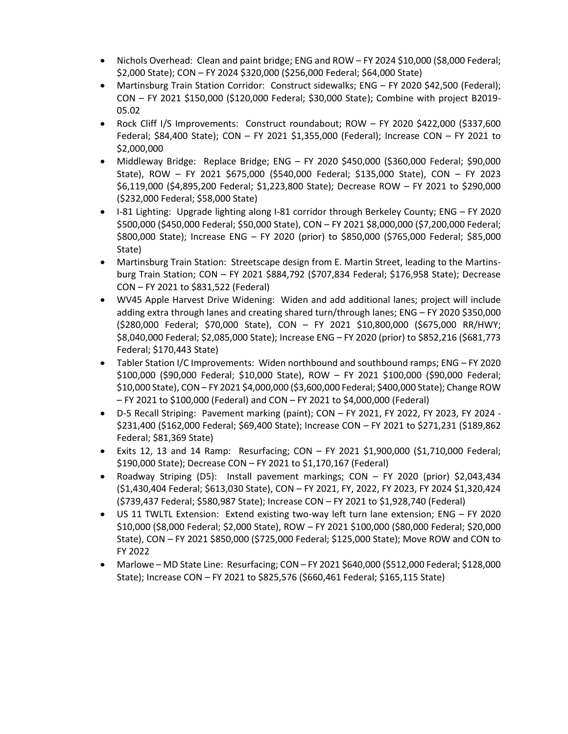- Nichols Overhead: Clean and paint bridge; ENG and ROW FY 2024 \$10,000 (\$8,000 Federal; \$2,000 State); CON – FY 2024 \$320,000 (\$256,000 Federal; \$64,000 State)
- Martinsburg Train Station Corridor: Construct sidewalks; ENG FY 2020 \$42,500 (Federal); CON – FY 2021 \$150,000 (\$120,000 Federal; \$30,000 State); Combine with project B2019- 05.02
- Rock Cliff I/S Improvements: Construct roundabout; ROW FY 2020 \$422,000 (\$337,600 Federal; \$84,400 State); CON – FY 2021 \$1,355,000 (Federal); Increase CON – FY 2021 to \$2,000,000
- Middleway Bridge: Replace Bridge; ENG FY 2020 \$450,000 (\$360,000 Federal; \$90,000 State), ROW – FY 2021 \$675,000 (\$540,000 Federal; \$135,000 State), CON – FY 2023 \$6,119,000 (\$4,895,200 Federal; \$1,223,800 State); Decrease ROW – FY 2021 to \$290,000 (\$232,000 Federal; \$58,000 State)
- I-81 Lighting: Upgrade lighting along I-81 corridor through Berkeley County; ENG FY 2020 \$500,000 (\$450,000 Federal; \$50,000 State), CON – FY 2021 \$8,000,000 (\$7,200,000 Federal; \$800,000 State); Increase ENG – FY 2020 (prior) to \$850,000 (\$765,000 Federal; \$85,000 State)
- Martinsburg Train Station: Streetscape design from E. Martin Street, leading to the Martinsburg Train Station; CON – FY 2021 \$884,792 (\$707,834 Federal; \$176,958 State); Decrease CON – FY 2021 to \$831,522 (Federal)
- WV45 Apple Harvest Drive Widening: Widen and add additional lanes; project will include adding extra through lanes and creating shared turn/through lanes; ENG – FY 2020 \$350,000 (\$280,000 Federal; \$70,000 State), CON – FY 2021 \$10,800,000 (\$675,000 RR/HWY; \$8,040,000 Federal; \$2,085,000 State); Increase ENG – FY 2020 (prior) to \$852,216 (\$681,773 Federal; \$170,443 State)
- Tabler Station I/C Improvements: Widen northbound and southbound ramps; ENG FY 2020 \$100,000 (\$90,000 Federal; \$10,000 State), ROW – FY 2021 \$100,000 (\$90,000 Federal; \$10,000 State), CON – FY 2021 \$4,000,000 (\$3,600,000 Federal; \$400,000 State); Change ROW – FY 2021 to \$100,000 (Federal) and CON – FY 2021 to \$4,000,000 (Federal)
- D-5 Recall Striping: Pavement marking (paint); CON FY 2021, FY 2022, FY 2023, FY 2024 \$231,400 (\$162,000 Federal; \$69,400 State); Increase CON – FY 2021 to \$271,231 (\$189,862 Federal; \$81,369 State)
- $\bullet$  Exits 12, 13 and 14 Ramp: Resurfacing; CON FY 2021 \$1,900,000 (\$1,710,000 Federal; \$190,000 State); Decrease CON – FY 2021 to \$1,170,167 (Federal)
- Roadway Striping (D5): Install pavement markings; CON FY 2020 (prior) \$2,043,434 (\$1,430,404 Federal; \$613,030 State), CON – FY 2021, FY, 2022, FY 2023, FY 2024 \$1,320,424 (\$739,437 Federal; \$580,987 State); Increase CON – FY 2021 to \$1,928,740 (Federal)
- US 11 TWLTL Extension: Extend existing two-way left turn lane extension; ENG FY 2020 \$10,000 (\$8,000 Federal; \$2,000 State), ROW – FY 2021 \$100,000 (\$80,000 Federal; \$20,000 State), CON – FY 2021 \$850,000 (\$725,000 Federal; \$125,000 State); Move ROW and CON to FY 2022
- Marlowe MD State Line: Resurfacing; CON FY 2021 \$640,000 (\$512,000 Federal; \$128,000 State); Increase CON – FY 2021 to \$825,576 (\$660,461 Federal; \$165,115 State)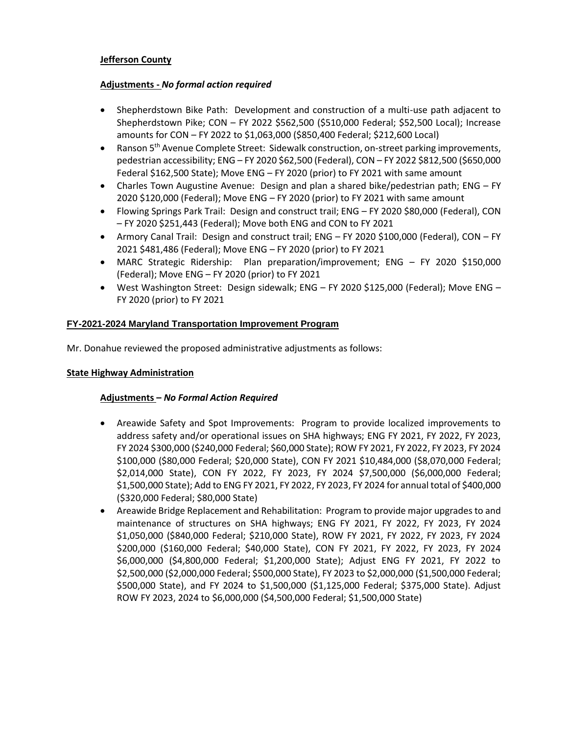# **Jefferson County**

# **Adjustments -** *No formal action required*

- Shepherdstown Bike Path: Development and construction of a multi-use path adjacent to Shepherdstown Pike; CON – FY 2022 \$562,500 (\$510,000 Federal; \$52,500 Local); Increase amounts for CON – FY 2022 to \$1,063,000 (\$850,400 Federal; \$212,600 Local)
- Ranson 5<sup>th</sup> Avenue Complete Street: Sidewalk construction, on-street parking improvements, pedestrian accessibility; ENG – FY 2020 \$62,500 (Federal), CON – FY 2022 \$812,500 (\$650,000 Federal \$162,500 State); Move ENG – FY 2020 (prior) to FY 2021 with same amount
- Charles Town Augustine Avenue: Design and plan a shared bike/pedestrian path; ENG FY 2020 \$120,000 (Federal); Move ENG – FY 2020 (prior) to FY 2021 with same amount
- Flowing Springs Park Trail: Design and construct trail; ENG FY 2020 \$80,000 (Federal), CON – FY 2020 \$251,443 (Federal); Move both ENG and CON to FY 2021
- Armory Canal Trail: Design and construct trail; ENG FY 2020 \$100,000 (Federal), CON FY 2021 \$481,486 (Federal); Move ENG – FY 2020 (prior) to FY 2021
- MARC Strategic Ridership: Plan preparation/improvement; ENG FY 2020 \$150,000 (Federal); Move ENG – FY 2020 (prior) to FY 2021
- West Washington Street: Design sidewalk; ENG FY 2020 \$125,000 (Federal); Move ENG FY 2020 (prior) to FY 2021

# **FY-2021-2024 Maryland Transportation Improvement Program**

Mr. Donahue reviewed the proposed administrative adjustments as follows:

## **State Highway Administration**

# **Adjustments –** *No Formal Action Required*

- Areawide Safety and Spot Improvements: Program to provide localized improvements to address safety and/or operational issues on SHA highways; ENG FY 2021, FY 2022, FY 2023, FY 2024 \$300,000 (\$240,000 Federal; \$60,000 State); ROW FY 2021, FY 2022, FY 2023, FY 2024 \$100,000 (\$80,000 Federal; \$20,000 State), CON FY 2021 \$10,484,000 (\$8,070,000 Federal; \$2,014,000 State), CON FY 2022, FY 2023, FY 2024 \$7,500,000 (\$6,000,000 Federal; \$1,500,000 State); Add to ENG FY 2021, FY 2022, FY 2023, FY 2024 for annual total of \$400,000 (\$320,000 Federal; \$80,000 State)
- Areawide Bridge Replacement and Rehabilitation: Program to provide major upgrades to and maintenance of structures on SHA highways; ENG FY 2021, FY 2022, FY 2023, FY 2024 \$1,050,000 (\$840,000 Federal; \$210,000 State), ROW FY 2021, FY 2022, FY 2023, FY 2024 \$200,000 (\$160,000 Federal; \$40,000 State), CON FY 2021, FY 2022, FY 2023, FY 2024 \$6,000,000 (\$4,800,000 Federal; \$1,200,000 State); Adjust ENG FY 2021, FY 2022 to \$2,500,000 (\$2,000,000 Federal; \$500,000 State), FY 2023 to \$2,000,000 (\$1,500,000 Federal; \$500,000 State), and FY 2024 to \$1,500,000 (\$1,125,000 Federal; \$375,000 State). Adjust ROW FY 2023, 2024 to \$6,000,000 (\$4,500,000 Federal; \$1,500,000 State)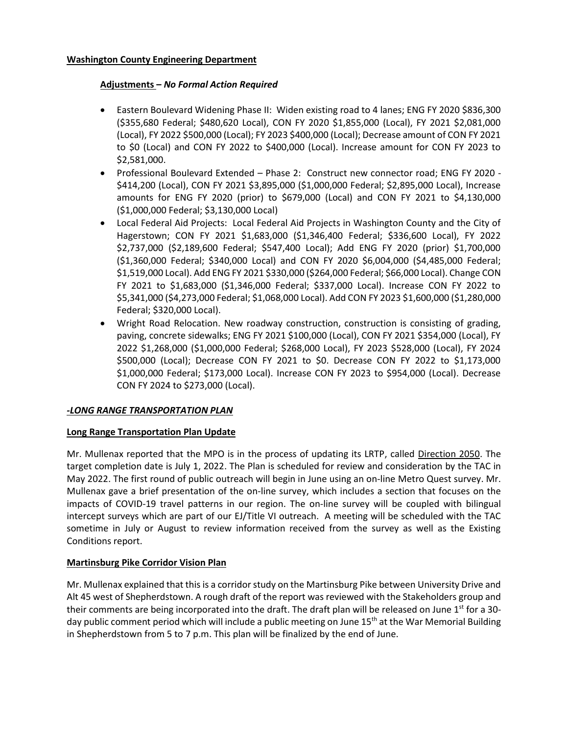## **Washington County Engineering Department**

### **Adjustments –** *No Formal Action Required*

- Eastern Boulevard Widening Phase II: Widen existing road to 4 lanes; ENG FY 2020 \$836,300 (\$355,680 Federal; \$480,620 Local), CON FY 2020 \$1,855,000 (Local), FY 2021 \$2,081,000 (Local), FY 2022 \$500,000 (Local); FY 2023 \$400,000 (Local); Decrease amount of CON FY 2021 to \$0 (Local) and CON FY 2022 to \$400,000 (Local). Increase amount for CON FY 2023 to \$2,581,000.
- Professional Boulevard Extended Phase 2: Construct new connector road; ENG FY 2020 \$414,200 (Local), CON FY 2021 \$3,895,000 (\$1,000,000 Federal; \$2,895,000 Local), Increase amounts for ENG FY 2020 (prior) to \$679,000 (Local) and CON FY 2021 to \$4,130,000 (\$1,000,000 Federal; \$3,130,000 Local)
- Local Federal Aid Projects: Local Federal Aid Projects in Washington County and the City of Hagerstown; CON FY 2021 \$1,683,000 (\$1,346,400 Federal; \$336,600 Local), FY 2022 \$2,737,000 (\$2,189,600 Federal; \$547,400 Local); Add ENG FY 2020 (prior) \$1,700,000 (\$1,360,000 Federal; \$340,000 Local) and CON FY 2020 \$6,004,000 (\$4,485,000 Federal; \$1,519,000 Local). Add ENG FY 2021 \$330,000 (\$264,000 Federal; \$66,000 Local). Change CON FY 2021 to \$1,683,000 (\$1,346,000 Federal; \$337,000 Local). Increase CON FY 2022 to \$5,341,000 (\$4,273,000 Federal; \$1,068,000 Local). Add CON FY 2023 \$1,600,000 (\$1,280,000 Federal; \$320,000 Local).
- Wright Road Relocation. New roadway construction, construction is consisting of grading, paving, concrete sidewalks; ENG FY 2021 \$100,000 (Local), CON FY 2021 \$354,000 (Local), FY 2022 \$1,268,000 (\$1,000,000 Federal; \$268,000 Local), FY 2023 \$528,000 (Local), FY 2024 \$500,000 (Local); Decrease CON FY 2021 to \$0. Decrease CON FY 2022 to \$1,173,000 \$1,000,000 Federal; \$173,000 Local). Increase CON FY 2023 to \$954,000 (Local). Decrease CON FY 2024 to \$273,000 (Local).

## *-LONG RANGE TRANSPORTATION PLAN*

#### **Long Range Transportation Plan Update**

Mr. Mullenax reported that the MPO is in the process of updating its LRTP, called Direction 2050. The target completion date is July 1, 2022. The Plan is scheduled for review and consideration by the TAC in May 2022. The first round of public outreach will begin in June using an on-line Metro Quest survey. Mr. Mullenax gave a brief presentation of the on-line survey, which includes a section that focuses on the impacts of COVID-19 travel patterns in our region. The on-line survey will be coupled with bilingual intercept surveys which are part of our EJ/Title VI outreach. A meeting will be scheduled with the TAC sometime in July or August to review information received from the survey as well as the Existing Conditions report.

## **Martinsburg Pike Corridor Vision Plan**

Mr. Mullenax explained that this is a corridor study on the Martinsburg Pike between University Drive and Alt 45 west of Shepherdstown. A rough draft of the report was reviewed with the Stakeholders group and their comments are being incorporated into the draft. The draft plan will be released on June  $1<sup>st</sup>$  for a 30day public comment period which will include a public meeting on June 15<sup>th</sup> at the War Memorial Building in Shepherdstown from 5 to 7 p.m. This plan will be finalized by the end of June.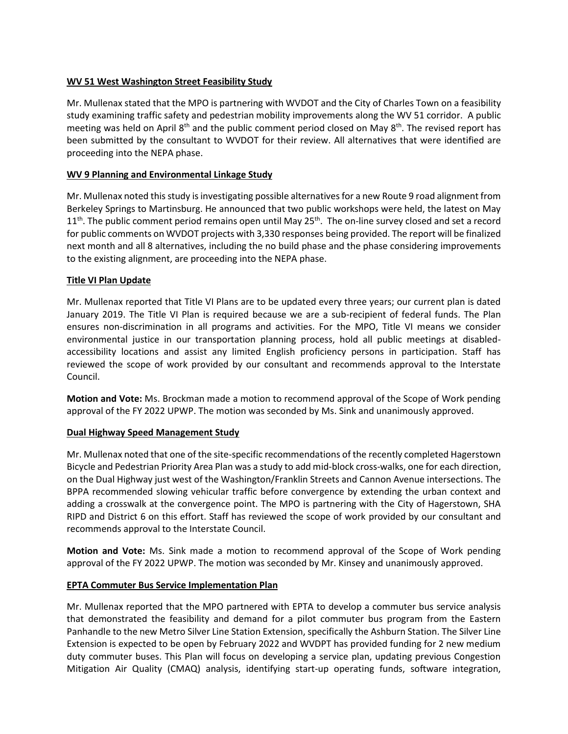# **WV 51 West Washington Street Feasibility Study**

Mr. Mullenax stated that the MPO is partnering with WVDOT and the City of Charles Town on a feasibility study examining traffic safety and pedestrian mobility improvements along the WV 51 corridor. A public meeting was held on April  $8<sup>th</sup>$  and the public comment period closed on May  $8<sup>th</sup>$ . The revised report has been submitted by the consultant to WVDOT for their review. All alternatives that were identified are proceeding into the NEPA phase.

## **WV 9 Planning and Environmental Linkage Study**

Mr. Mullenax noted this study is investigating possible alternatives for a new Route 9 road alignment from Berkeley Springs to Martinsburg. He announced that two public workshops were held, the latest on May  $11<sup>th</sup>$ . The public comment period remains open until May  $25<sup>th</sup>$ . The on-line survey closed and set a record for public comments on WVDOT projects with 3,330 responses being provided. The report will be finalized next month and all 8 alternatives, including the no build phase and the phase considering improvements to the existing alignment, are proceeding into the NEPA phase.

# **Title VI Plan Update**

Mr. Mullenax reported that Title VI Plans are to be updated every three years; our current plan is dated January 2019. The Title VI Plan is required because we are a sub-recipient of federal funds. The Plan ensures non-discrimination in all programs and activities. For the MPO, Title VI means we consider environmental justice in our transportation planning process, hold all public meetings at disabledaccessibility locations and assist any limited English proficiency persons in participation. Staff has reviewed the scope of work provided by our consultant and recommends approval to the Interstate Council.

**Motion and Vote:** Ms. Brockman made a motion to recommend approval of the Scope of Work pending approval of the FY 2022 UPWP. The motion was seconded by Ms. Sink and unanimously approved.

## **Dual Highway Speed Management Study**

Mr. Mullenax noted that one of the site-specific recommendations of the recently completed Hagerstown Bicycle and Pedestrian Priority Area Plan was a study to add mid-block cross-walks, one for each direction, on the Dual Highway just west of the Washington/Franklin Streets and Cannon Avenue intersections. The BPPA recommended slowing vehicular traffic before convergence by extending the urban context and adding a crosswalk at the convergence point. The MPO is partnering with the City of Hagerstown, SHA RIPD and District 6 on this effort. Staff has reviewed the scope of work provided by our consultant and recommends approval to the Interstate Council.

**Motion and Vote:** Ms. Sink made a motion to recommend approval of the Scope of Work pending approval of the FY 2022 UPWP. The motion was seconded by Mr. Kinsey and unanimously approved.

## **EPTA Commuter Bus Service Implementation Plan**

Mr. Mullenax reported that the MPO partnered with EPTA to develop a commuter bus service analysis that demonstrated the feasibility and demand for a pilot commuter bus program from the Eastern Panhandle to the new Metro Silver Line Station Extension, specifically the Ashburn Station. The Silver Line Extension is expected to be open by February 2022 and WVDPT has provided funding for 2 new medium duty commuter buses. This Plan will focus on developing a service plan, updating previous Congestion Mitigation Air Quality (CMAQ) analysis, identifying start-up operating funds, software integration,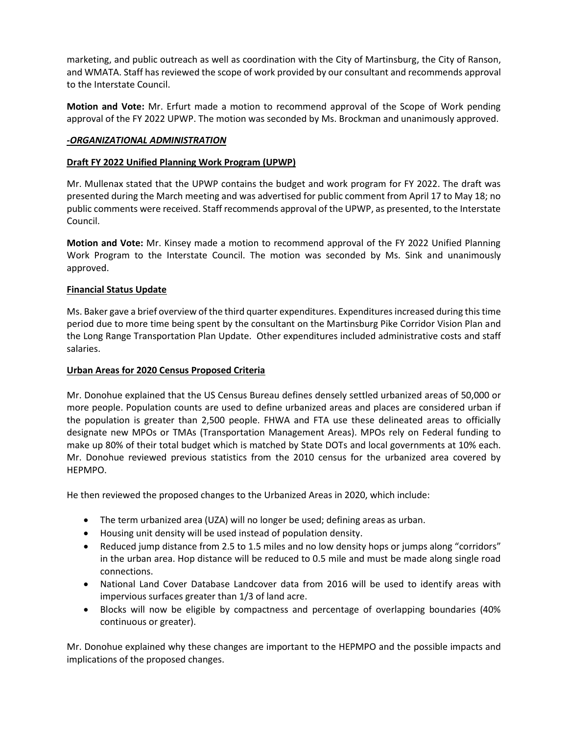marketing, and public outreach as well as coordination with the City of Martinsburg, the City of Ranson, and WMATA. Staff has reviewed the scope of work provided by our consultant and recommends approval to the Interstate Council.

**Motion and Vote:** Mr. Erfurt made a motion to recommend approval of the Scope of Work pending approval of the FY 2022 UPWP. The motion was seconded by Ms. Brockman and unanimously approved.

## *-ORGANIZATIONAL ADMINISTRATION*

## **Draft FY 2022 Unified Planning Work Program (UPWP)**

Mr. Mullenax stated that the UPWP contains the budget and work program for FY 2022. The draft was presented during the March meeting and was advertised for public comment from April 17 to May 18; no public comments were received. Staff recommends approval of the UPWP, as presented, to the Interstate Council.

**Motion and Vote:** Mr. Kinsey made a motion to recommend approval of the FY 2022 Unified Planning Work Program to the Interstate Council. The motion was seconded by Ms. Sink and unanimously approved.

## **Financial Status Update**

Ms. Baker gave a brief overview of the third quarter expenditures. Expenditures increased during this time period due to more time being spent by the consultant on the Martinsburg Pike Corridor Vision Plan and the Long Range Transportation Plan Update. Other expenditures included administrative costs and staff salaries.

### **Urban Areas for 2020 Census Proposed Criteria**

Mr. Donohue explained that the US Census Bureau defines densely settled urbanized areas of 50,000 or more people. Population counts are used to define urbanized areas and places are considered urban if the population is greater than 2,500 people. FHWA and FTA use these delineated areas to officially designate new MPOs or TMAs (Transportation Management Areas). MPOs rely on Federal funding to make up 80% of their total budget which is matched by State DOTs and local governments at 10% each. Mr. Donohue reviewed previous statistics from the 2010 census for the urbanized area covered by HEPMPO.

He then reviewed the proposed changes to the Urbanized Areas in 2020, which include:

- The term urbanized area (UZA) will no longer be used; defining areas as urban.
- Housing unit density will be used instead of population density.
- Reduced jump distance from 2.5 to 1.5 miles and no low density hops or jumps along "corridors" in the urban area. Hop distance will be reduced to 0.5 mile and must be made along single road connections.
- National Land Cover Database Landcover data from 2016 will be used to identify areas with impervious surfaces greater than 1/3 of land acre.
- Blocks will now be eligible by compactness and percentage of overlapping boundaries (40% continuous or greater).

Mr. Donohue explained why these changes are important to the HEPMPO and the possible impacts and implications of the proposed changes.